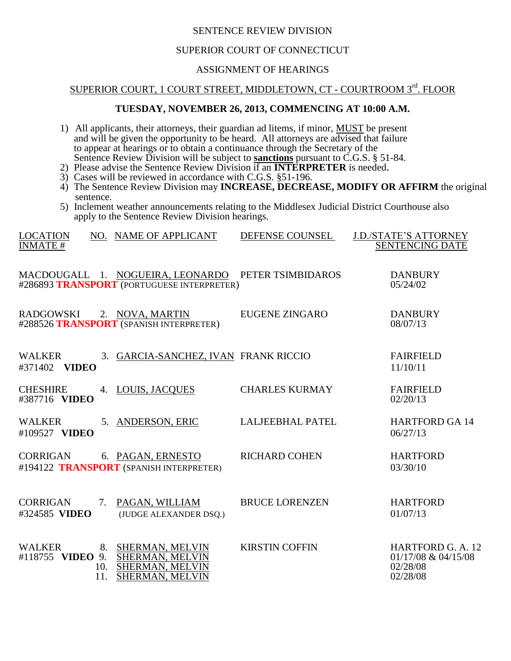#### SENTENCE REVIEW DIVISION

## SUPERIOR COURT OF CONNECTICUT

## ASSIGNMENT OF HEARINGS

# SUPERIOR COURT, 1 COURT STREET, MIDDLETOWN, CT - COURTROOM 3rd. FLOOR

#### **TUESDAY, NOVEMBER 26, 2013, COMMENCING AT 10:00 A.M.**

1) All applicants, their attorneys, their guardian ad litems, if minor, MUST be present and will be given the opportunity to be heard. All attorneys are advised that failure to appear at hearings or to obtain a continuance through the Secretary of the Sentence Review Division will be subject to **sanctions** pursuant to C.G.S. § 51-84.

- 2) Please advise the Sentence Review Division if an **INTERPRETER** is needed.
- 3) Cases will be reviewed in accordance with C.G.S. §51-196.
- 4) The Sentence Review Division may **INCREASE, DECREASE, MODIFY OR AFFIRM** the original sentence.
- 5) Inclement weather announcements relating to the Middlesex Judicial District Courthouse also apply to the Sentence Review Division hearings.

| <b>LOCATION</b><br><b>INMATE#</b> |            | NO. NAME OF APPLICANT                                                                            | DEFENSE COUNSEL         | <b>J.D./STATE'S ATTORNEY</b><br><b>SENTENCING DATE</b>                     |
|-----------------------------------|------------|--------------------------------------------------------------------------------------------------|-------------------------|----------------------------------------------------------------------------|
|                                   |            | MACDOUGALL 1. NOGUEIRA, LEONARDO PETER TSIMBIDAROS<br>#286893 TRANSPORT (PORTUGUESE INTERPRETER) |                         | <b>DANBURY</b><br>05/24/02                                                 |
| RADGOWSKI 2. NOVA, MARTIN         |            | #288526 TRANSPORT (SPANISH INTERPRETER)                                                          | EUGENE ZINGARO          | <b>DANBURY</b><br>08/07/13                                                 |
| <b>WALKER</b><br>#371402 VIDEO    |            | 3. GARCIA-SANCHEZ, IVAN FRANK RICCIO                                                             |                         | <b>FAIRFIELD</b><br>11/10/11                                               |
| <b>CHESHIRE</b><br>#387716 VIDEO  |            | 4. LOUIS, JACQUES                                                                                | <b>CHARLES KURMAY</b>   | <b>FAIRFIELD</b><br>02/20/13                                               |
| <b>WALKER</b><br>#109527 VIDEO    |            | 5. ANDERSON, ERIC                                                                                | <b>LALJEEBHAL PATEL</b> | <b>HARTFORD GA 14</b><br>06/27/13                                          |
| <b>CORRIGAN</b>                   |            | 6. PAGAN, ERNESTO<br>#194122 TRANSPORT (SPANISH INTERPRETER)                                     | <b>RICHARD COHEN</b>    | <b>HARTFORD</b><br>03/30/10                                                |
| CORRIGAN<br>#324585 VIDEO         | 7.         | PAGAN, WILLIAM<br>(JUDGE ALEXANDER DSQ.)                                                         | <b>BRUCE LORENZEN</b>   | <b>HARTFORD</b><br>01/07/13                                                |
| <b>WALKER</b><br>#118755 VIDEO 9. | 10.<br>11. | 8. SHERMAN, MELVIN<br><b>SHERMAN, MELVIN</b><br>SHERMAN, MELVIN<br><b>SHERMAN, MELVIN</b>        | <b>KIRSTIN COFFIN</b>   | <b>HARTFORD G. A. 12</b><br>$01/17/08 \& 04/15/08$<br>02/28/08<br>02/28/08 |